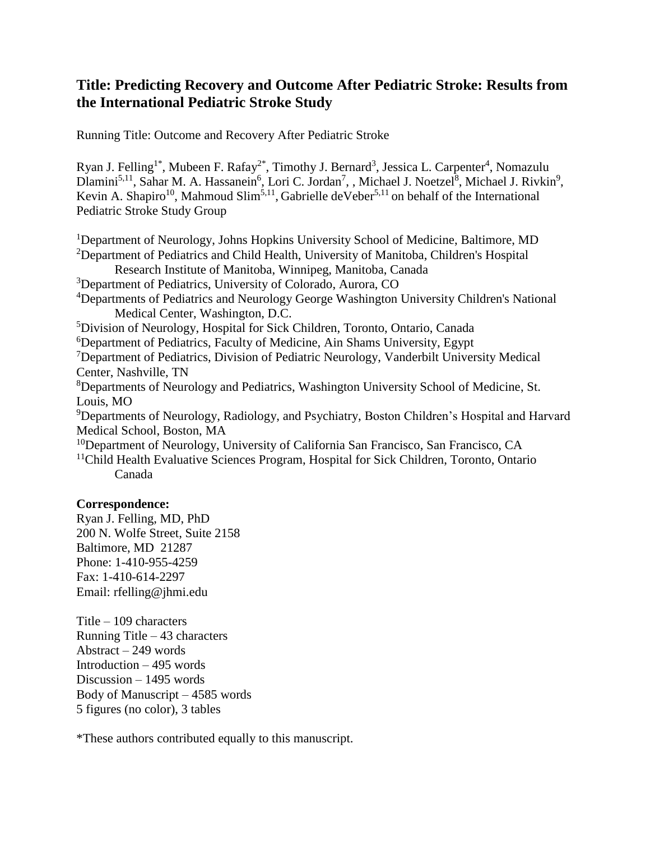# **Title: Predicting Recovery and Outcome After Pediatric Stroke: Results from the International Pediatric Stroke Study**

Running Title: Outcome and Recovery After Pediatric Stroke

Ryan J. Felling<sup>1\*</sup>, Mubeen F. Rafay<sup>2\*</sup>, Timothy J. Bernard<sup>3</sup>, Jessica L. Carpenter<sup>4</sup>, Nomazulu Dlamini<sup>5,11</sup>, Sahar M. A. Hassanein<sup>6</sup>, Lori C. Jordan<sup>7</sup>, , Michael J. Noetzel<sup>8</sup>, Michael J. Rivkin<sup>9</sup>, Kevin A. Shapiro<sup>10</sup>, Mahmoud Slim<sup>5,11</sup>, Gabrielle deVeber<sup>5,11</sup> on behalf of the International Pediatric Stroke Study Group

<sup>1</sup>Department of Neurology, Johns Hopkins University School of Medicine, Baltimore, MD <sup>2</sup>Department of Pediatrics and Child Health, University of Manitoba, Children's Hospital Research Institute of Manitoba, Winnipeg, Manitoba, Canada <sup>3</sup>Department of Pediatrics, University of Colorado, Aurora, CO <sup>4</sup>Departments of Pediatrics and Neurology George Washington University Children's National Medical Center, Washington, D.C. <sup>5</sup>Division of Neurology, Hospital for Sick Children, Toronto, Ontario, Canada <sup>6</sup>Department of Pediatrics, Faculty of Medicine, Ain Shams University, Egypt <sup>7</sup>Department of Pediatrics, Division of Pediatric Neurology, Vanderbilt University Medical Center, Nashville, TN <sup>8</sup>Departments of Neurology and Pediatrics, Washington University School of Medicine, St. Louis, MO <sup>9</sup>Departments of Neurology, Radiology, and Psychiatry, Boston Children's Hospital and Harvard Medical School, Boston, MA <sup>10</sup>Department of Neurology, University of California San Francisco, San Francisco, CA <sup>11</sup>Child Health Evaluative Sciences Program, Hospital for Sick Children, Toronto, Ontario Canada

# **Correspondence:**

Ryan J. Felling, MD, PhD 200 N. Wolfe Street, Suite 2158 Baltimore, MD 21287 Phone: 1-410-955-4259 Fax: 1-410-614-2297 Email: rfelling@jhmi.edu

Title – 109 characters Running Title – 43 characters Abstract – 249 words Introduction – 495 words Discussion – 1495 words Body of Manuscript – 4585 words 5 figures (no color), 3 tables

\*These authors contributed equally to this manuscript.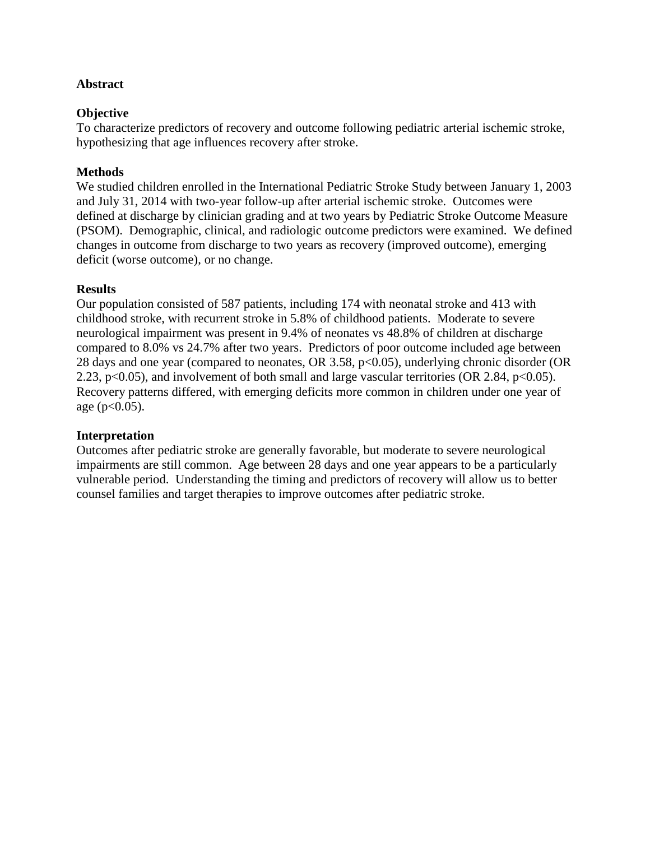# **Abstract**

## **Objective**

To characterize predictors of recovery and outcome following pediatric arterial ischemic stroke, hypothesizing that age influences recovery after stroke.

# **Methods**

We studied children enrolled in the International Pediatric Stroke Study between January 1, 2003 and July 31, 2014 with two-year follow-up after arterial ischemic stroke. Outcomes were defined at discharge by clinician grading and at two years by Pediatric Stroke Outcome Measure (PSOM). Demographic, clinical, and radiologic outcome predictors were examined. We defined changes in outcome from discharge to two years as recovery (improved outcome), emerging deficit (worse outcome), or no change.

## **Results**

Our population consisted of 587 patients, including 174 with neonatal stroke and 413 with childhood stroke, with recurrent stroke in 5.8% of childhood patients. Moderate to severe neurological impairment was present in 9.4% of neonates vs 48.8% of children at discharge compared to 8.0% vs 24.7% after two years. Predictors of poor outcome included age between 28 days and one year (compared to neonates, OR 3.58, p<0.05), underlying chronic disorder (OR 2.23, p<0.05), and involvement of both small and large vascular territories (OR 2.84, p<0.05). Recovery patterns differed, with emerging deficits more common in children under one year of age ( $p<0.05$ ).

## **Interpretation**

Outcomes after pediatric stroke are generally favorable, but moderate to severe neurological impairments are still common. Age between 28 days and one year appears to be a particularly vulnerable period. Understanding the timing and predictors of recovery will allow us to better counsel families and target therapies to improve outcomes after pediatric stroke.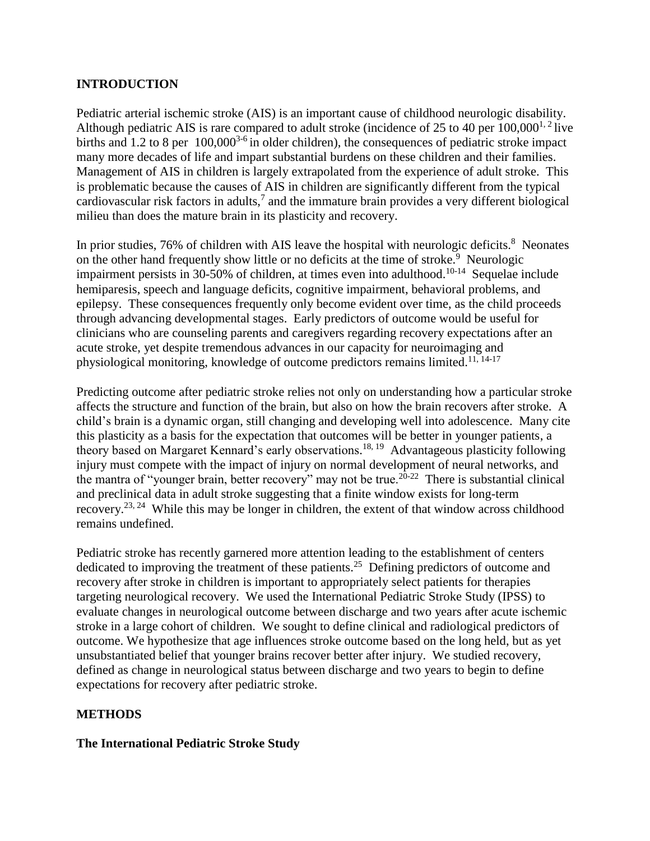# **INTRODUCTION**

Pediatric arterial ischemic stroke (AIS) is an important cause of childhood neurologic disability. Although pediatric AIS is rare compared to adult stroke (incidence of 25 to 40 per  $100,000^{1,2}$  live births and 1.2 to 8 per 100,000<sup>3-6</sup> in older children), the consequences of pediatric stroke impact many more decades of life and impart substantial burdens on these children and their families. Management of AIS in children is largely extrapolated from the experience of adult stroke. This is problematic because the causes of AIS in children are significantly different from the typical cardiovascular risk factors in adults, $^7$  and the immature brain provides a very different biological milieu than does the mature brain in its plasticity and recovery.

In prior studies, 76% of children with AIS leave the hospital with neurologic deficits.<sup>8</sup> Neonates on the other hand frequently show little or no deficits at the time of stroke.<sup>9</sup> Neurologic impairment persists in 30-50% of children, at times even into adulthood.<sup>10-14</sup> Sequelae include hemiparesis, speech and language deficits, cognitive impairment, behavioral problems, and epilepsy. These consequences frequently only become evident over time, as the child proceeds through advancing developmental stages. Early predictors of outcome would be useful for clinicians who are counseling parents and caregivers regarding recovery expectations after an acute stroke, yet despite tremendous advances in our capacity for neuroimaging and physiological monitoring, knowledge of outcome predictors remains limited.<sup>11, 14-17</sup>

Predicting outcome after pediatric stroke relies not only on understanding how a particular stroke affects the structure and function of the brain, but also on how the brain recovers after stroke. A child's brain is a dynamic organ, still changing and developing well into adolescence. Many cite this plasticity as a basis for the expectation that outcomes will be better in younger patients, a theory based on Margaret Kennard's early observations.<sup>18, 19</sup> Advantageous plasticity following injury must compete with the impact of injury on normal development of neural networks, and the mantra of "younger brain, better recovery" may not be true.<sup>20-22</sup> There is substantial clinical and preclinical data in adult stroke suggesting that a finite window exists for long-term recovery.<sup>23, 24</sup> While this may be longer in children, the extent of that window across childhood remains undefined.

Pediatric stroke has recently garnered more attention leading to the establishment of centers dedicated to improving the treatment of these patients.<sup>25</sup> Defining predictors of outcome and recovery after stroke in children is important to appropriately select patients for therapies targeting neurological recovery. We used the International Pediatric Stroke Study (IPSS) to evaluate changes in neurological outcome between discharge and two years after acute ischemic stroke in a large cohort of children. We sought to define clinical and radiological predictors of outcome. We hypothesize that age influences stroke outcome based on the long held, but as yet unsubstantiated belief that younger brains recover better after injury. We studied recovery, defined as change in neurological status between discharge and two years to begin to define expectations for recovery after pediatric stroke.

# **METHODS**

## **The International Pediatric Stroke Study**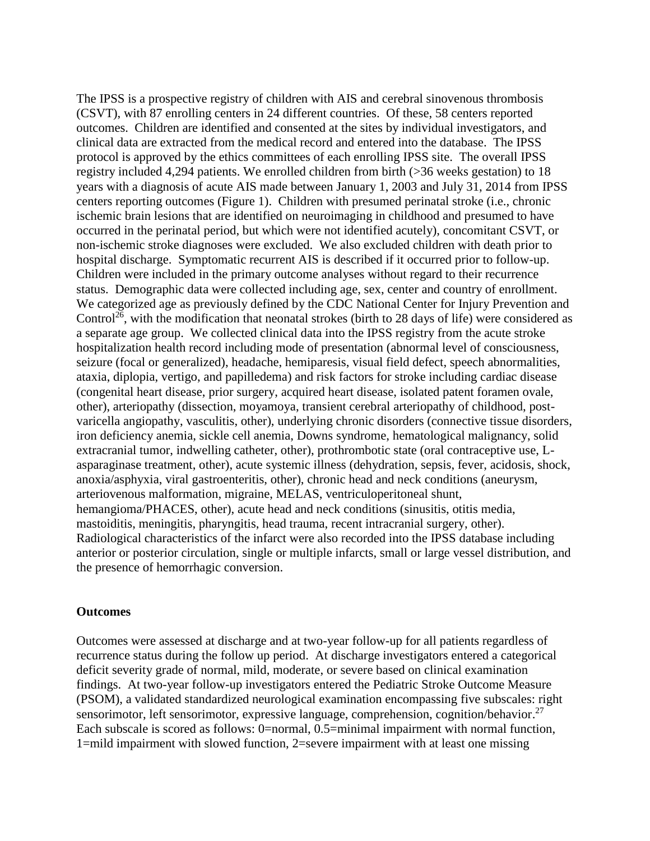The IPSS is a prospective registry of children with AIS and cerebral sinovenous thrombosis (CSVT), with 87 enrolling centers in 24 different countries. Of these, 58 centers reported outcomes. Children are identified and consented at the sites by individual investigators, and clinical data are extracted from the medical record and entered into the database. The IPSS protocol is approved by the ethics committees of each enrolling IPSS site. The overall IPSS registry included 4,294 patients. We enrolled children from birth (>36 weeks gestation) to 18 years with a diagnosis of acute AIS made between January 1, 2003 and July 31, 2014 from IPSS centers reporting outcomes (Figure 1). Children with presumed perinatal stroke (i.e., chronic ischemic brain lesions that are identified on neuroimaging in childhood and presumed to have occurred in the perinatal period, but which were not identified acutely), concomitant CSVT, or non-ischemic stroke diagnoses were excluded. We also excluded children with death prior to hospital discharge. Symptomatic recurrent AIS is described if it occurred prior to follow-up. Children were included in the primary outcome analyses without regard to their recurrence status. Demographic data were collected including age, sex, center and country of enrollment. We categorized age as previously defined by the CDC National Center for Injury Prevention and Control<sup>26</sup>, with the modification that neonatal strokes (birth to 28 days of life) were considered as a separate age group. We collected clinical data into the IPSS registry from the acute stroke hospitalization health record including mode of presentation (abnormal level of consciousness, seizure (focal or generalized), headache, hemiparesis, visual field defect, speech abnormalities, ataxia, diplopia, vertigo, and papilledema) and risk factors for stroke including cardiac disease (congenital heart disease, prior surgery, acquired heart disease, isolated patent foramen ovale, other), arteriopathy (dissection, moyamoya, transient cerebral arteriopathy of childhood, postvaricella angiopathy, vasculitis, other), underlying chronic disorders (connective tissue disorders, iron deficiency anemia, sickle cell anemia, Downs syndrome, hematological malignancy, solid extracranial tumor, indwelling catheter, other), prothrombotic state (oral contraceptive use, Lasparaginase treatment, other), acute systemic illness (dehydration, sepsis, fever, acidosis, shock, anoxia/asphyxia, viral gastroenteritis, other), chronic head and neck conditions (aneurysm, arteriovenous malformation, migraine, MELAS, ventriculoperitoneal shunt, hemangioma/PHACES, other), acute head and neck conditions (sinusitis, otitis media, mastoiditis, meningitis, pharyngitis, head trauma, recent intracranial surgery, other). Radiological characteristics of the infarct were also recorded into the IPSS database including anterior or posterior circulation, single or multiple infarcts, small or large vessel distribution, and the presence of hemorrhagic conversion.

#### **Outcomes**

Outcomes were assessed at discharge and at two-year follow-up for all patients regardless of recurrence status during the follow up period. At discharge investigators entered a categorical deficit severity grade of normal, mild, moderate, or severe based on clinical examination findings. At two-year follow-up investigators entered the Pediatric Stroke Outcome Measure (PSOM), a validated standardized neurological examination encompassing five subscales: right sensorimotor, left sensorimotor, expressive language, comprehension, cognition/behavior.<sup>27</sup> Each subscale is scored as follows: 0=normal, 0.5=minimal impairment with normal function, 1=mild impairment with slowed function, 2=severe impairment with at least one missing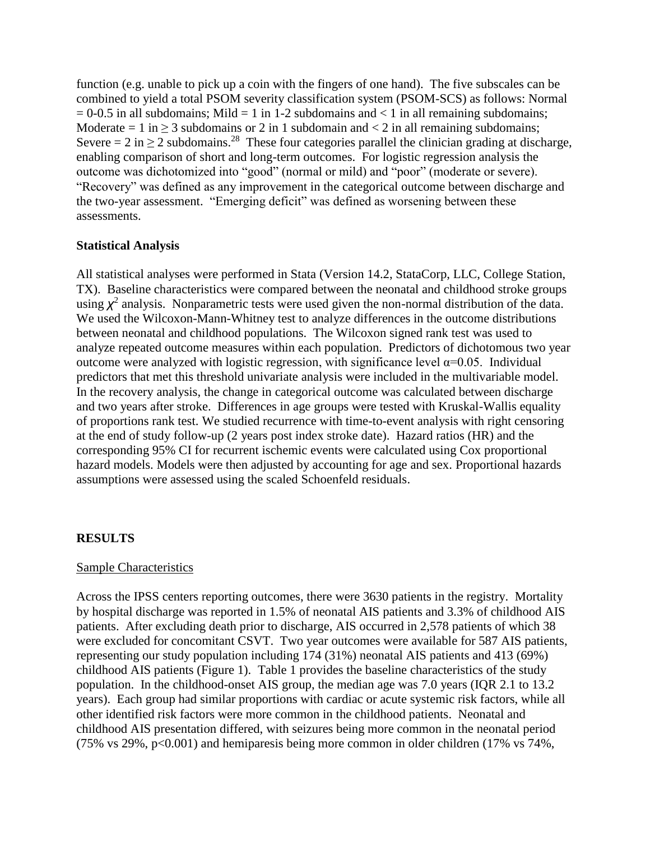function (e.g. unable to pick up a coin with the fingers of one hand). The five subscales can be combined to yield a total PSOM severity classification system (PSOM-SCS) as follows: Normal  $= 0.6$  in all subdomains; Mild  $= 1$  in 1-2 subdomains and  $< 1$  in all remaining subdomains; Moderate = 1 in  $\geq$  3 subdomains or 2 in 1 subdomain and  $\lt$  2 in all remaining subdomains; Severe = 2 in  $\geq$  2 subdomains.<sup>28</sup> These four categories parallel the clinician grading at discharge, enabling comparison of short and long-term outcomes. For logistic regression analysis the outcome was dichotomized into "good" (normal or mild) and "poor" (moderate or severe). "Recovery" was defined as any improvement in the categorical outcome between discharge and the two-year assessment. "Emerging deficit" was defined as worsening between these assessments.

# **Statistical Analysis**

All statistical analyses were performed in Stata (Version 14.2, StataCorp, LLC, College Station, TX). Baseline characteristics were compared between the neonatal and childhood stroke groups using  $\chi^2$  analysis. Nonparametric tests were used given the non-normal distribution of the data. We used the Wilcoxon-Mann-Whitney test to analyze differences in the outcome distributions between neonatal and childhood populations. The Wilcoxon signed rank test was used to analyze repeated outcome measures within each population. Predictors of dichotomous two year outcome were analyzed with logistic regression, with significance level  $α=0.05$ . Individual predictors that met this threshold univariate analysis were included in the multivariable model. In the recovery analysis, the change in categorical outcome was calculated between discharge and two years after stroke. Differences in age groups were tested with Kruskal-Wallis equality of proportions rank test. We studied recurrence with time-to-event analysis with right censoring at the end of study follow-up (2 years post index stroke date). Hazard ratios (HR) and the corresponding 95% CI for recurrent ischemic events were calculated using Cox proportional hazard models. Models were then adjusted by accounting for age and sex. Proportional hazards assumptions were assessed using the scaled Schoenfeld residuals.

## **RESULTS**

## Sample Characteristics

Across the IPSS centers reporting outcomes, there were 3630 patients in the registry. Mortality by hospital discharge was reported in 1.5% of neonatal AIS patients and 3.3% of childhood AIS patients. After excluding death prior to discharge, AIS occurred in 2,578 patients of which 38 were excluded for concomitant CSVT. Two year outcomes were available for 587 AIS patients, representing our study population including 174 (31%) neonatal AIS patients and 413 (69%) childhood AIS patients (Figure 1). Table 1 provides the baseline characteristics of the study population. In the childhood-onset AIS group, the median age was 7.0 years (IQR 2.1 to 13.2 years). Each group had similar proportions with cardiac or acute systemic risk factors, while all other identified risk factors were more common in the childhood patients. Neonatal and childhood AIS presentation differed, with seizures being more common in the neonatal period (75% vs 29%, p<0.001) and hemiparesis being more common in older children (17% vs 74%,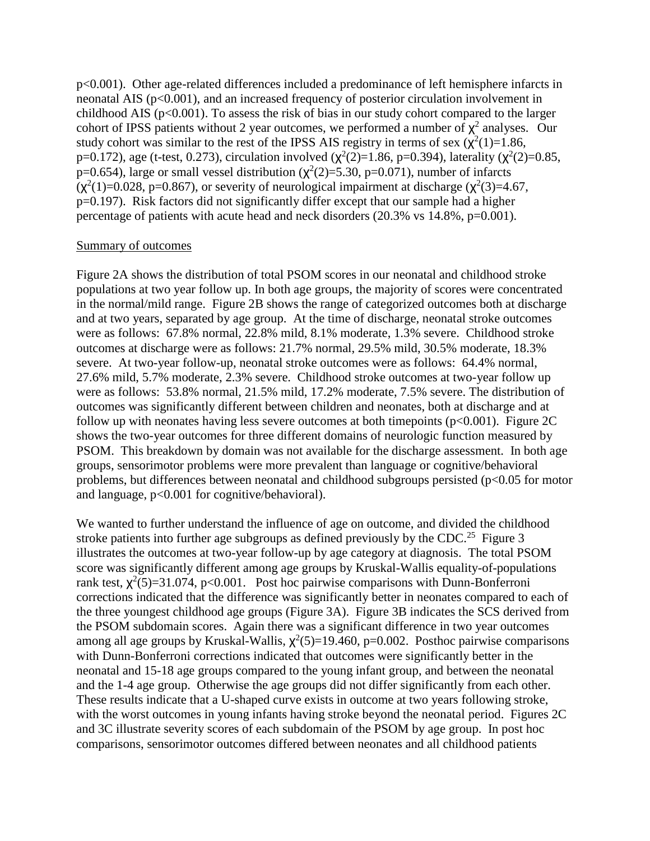p<0.001). Other age-related differences included a predominance of left hemisphere infarcts in neonatal AIS (p<0.001), and an increased frequency of posterior circulation involvement in childhood AIS ( $p<0.001$ ). To assess the risk of bias in our study cohort compared to the larger cohort of IPSS patients without 2 year outcomes, we performed a number of  $\chi^2$  analyses. Our study cohort was similar to the rest of the IPSS AIS registry in terms of sex  $(\chi^2(1)=1.86,$ p=0.172), age (t-test, 0.273), circulation involved ( $\chi^2(2)=1.86$ , p=0.394), laterality ( $\chi^2(2)=0.85$ , p=0.654), large or small vessel distribution ( $\chi^2(2)=5.30$ , p=0.071), number of infarcts  $(\chi^2(1)=0.028, p=0.867)$ , or severity of neurological impairment at discharge  $(\chi^2(3)=4.67,$ p=0.197). Risk factors did not significantly differ except that our sample had a higher percentage of patients with acute head and neck disorders (20.3% vs 14.8%, p=0.001).

#### Summary of outcomes

Figure 2A shows the distribution of total PSOM scores in our neonatal and childhood stroke populations at two year follow up. In both age groups, the majority of scores were concentrated in the normal/mild range. Figure 2B shows the range of categorized outcomes both at discharge and at two years, separated by age group. At the time of discharge, neonatal stroke outcomes were as follows: 67.8% normal, 22.8% mild, 8.1% moderate, 1.3% severe. Childhood stroke outcomes at discharge were as follows: 21.7% normal, 29.5% mild, 30.5% moderate, 18.3% severe. At two-year follow-up, neonatal stroke outcomes were as follows: 64.4% normal, 27.6% mild, 5.7% moderate, 2.3% severe. Childhood stroke outcomes at two-year follow up were as follows: 53.8% normal, 21.5% mild, 17.2% moderate, 7.5% severe. The distribution of outcomes was significantly different between children and neonates, both at discharge and at follow up with neonates having less severe outcomes at both timepoints ( $p<0.001$ ). Figure 2C shows the two-year outcomes for three different domains of neurologic function measured by PSOM. This breakdown by domain was not available for the discharge assessment. In both age groups, sensorimotor problems were more prevalent than language or cognitive/behavioral problems, but differences between neonatal and childhood subgroups persisted ( $p<0.05$  for motor and language, p<0.001 for cognitive/behavioral).

We wanted to further understand the influence of age on outcome, and divided the childhood stroke patients into further age subgroups as defined previously by the CDC.<sup>25</sup> Figure 3 illustrates the outcomes at two-year follow-up by age category at diagnosis. The total PSOM score was significantly different among age groups by Kruskal-Wallis equality-of-populations rank test,  $\chi^2(5)=31.074$ , p<0.001. Post hoc pairwise comparisons with Dunn-Bonferroni corrections indicated that the difference was significantly better in neonates compared to each of the three youngest childhood age groups (Figure 3A). Figure 3B indicates the SCS derived from the PSOM subdomain scores. Again there was a significant difference in two year outcomes among all age groups by Kruskal-Wallis,  $\chi^2(5)=19.460$ , p=0.002. Posthoc pairwise comparisons with Dunn-Bonferroni corrections indicated that outcomes were significantly better in the neonatal and 15-18 age groups compared to the young infant group, and between the neonatal and the 1-4 age group. Otherwise the age groups did not differ significantly from each other. These results indicate that a U-shaped curve exists in outcome at two years following stroke, with the worst outcomes in young infants having stroke beyond the neonatal period. Figures 2C and 3C illustrate severity scores of each subdomain of the PSOM by age group. In post hoc comparisons, sensorimotor outcomes differed between neonates and all childhood patients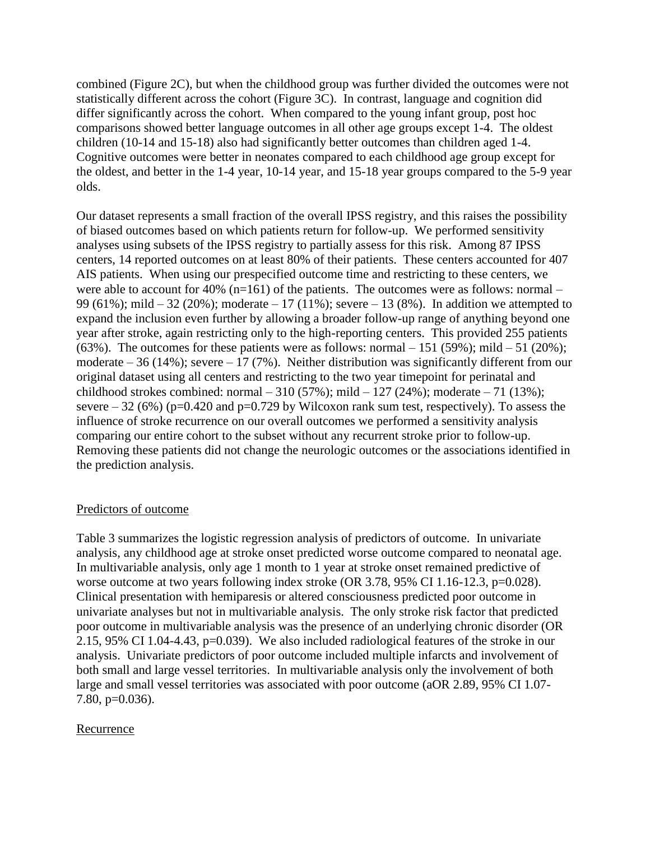combined (Figure 2C), but when the childhood group was further divided the outcomes were not statistically different across the cohort (Figure 3C). In contrast, language and cognition did differ significantly across the cohort. When compared to the young infant group, post hoc comparisons showed better language outcomes in all other age groups except 1-4. The oldest children (10-14 and 15-18) also had significantly better outcomes than children aged 1-4. Cognitive outcomes were better in neonates compared to each childhood age group except for the oldest, and better in the 1-4 year, 10-14 year, and 15-18 year groups compared to the 5-9 year olds.

Our dataset represents a small fraction of the overall IPSS registry, and this raises the possibility of biased outcomes based on which patients return for follow-up. We performed sensitivity analyses using subsets of the IPSS registry to partially assess for this risk. Among 87 IPSS centers, 14 reported outcomes on at least 80% of their patients. These centers accounted for 407 AIS patients. When using our prespecified outcome time and restricting to these centers, we were able to account for 40% ( $n=161$ ) of the patients. The outcomes were as follows: normal – 99 (61%); mild  $-32$  (20%); moderate  $-17$  (11%); severe  $-13$  (8%). In addition we attempted to expand the inclusion even further by allowing a broader follow-up range of anything beyond one year after stroke, again restricting only to the high-reporting centers. This provided 255 patients (63%). The outcomes for these patients were as follows: normal  $-151$  (59%); mild  $-51$  (20%); moderate  $-36$  (14%); severe  $-17$  (7%). Neither distribution was significantly different from our original dataset using all centers and restricting to the two year timepoint for perinatal and childhood strokes combined: normal  $-310(57%)$ ; mild  $-127(24%)$ ; moderate  $-71(13%)$ ; severe  $-32(6%)$  (p=0.420 and p=0.729 by Wilcoxon rank sum test, respectively). To assess the influence of stroke recurrence on our overall outcomes we performed a sensitivity analysis comparing our entire cohort to the subset without any recurrent stroke prior to follow-up. Removing these patients did not change the neurologic outcomes or the associations identified in the prediction analysis.

## Predictors of outcome

Table 3 summarizes the logistic regression analysis of predictors of outcome. In univariate analysis, any childhood age at stroke onset predicted worse outcome compared to neonatal age. In multivariable analysis, only age 1 month to 1 year at stroke onset remained predictive of worse outcome at two years following index stroke (OR 3.78, 95% CI 1.16-12.3, p=0.028). Clinical presentation with hemiparesis or altered consciousness predicted poor outcome in univariate analyses but not in multivariable analysis. The only stroke risk factor that predicted poor outcome in multivariable analysis was the presence of an underlying chronic disorder (OR 2.15, 95% CI 1.04-4.43, p=0.039). We also included radiological features of the stroke in our analysis. Univariate predictors of poor outcome included multiple infarcts and involvement of both small and large vessel territories. In multivariable analysis only the involvement of both large and small vessel territories was associated with poor outcome (aOR 2.89, 95% CI 1.07- 7.80, p=0.036).

## Recurrence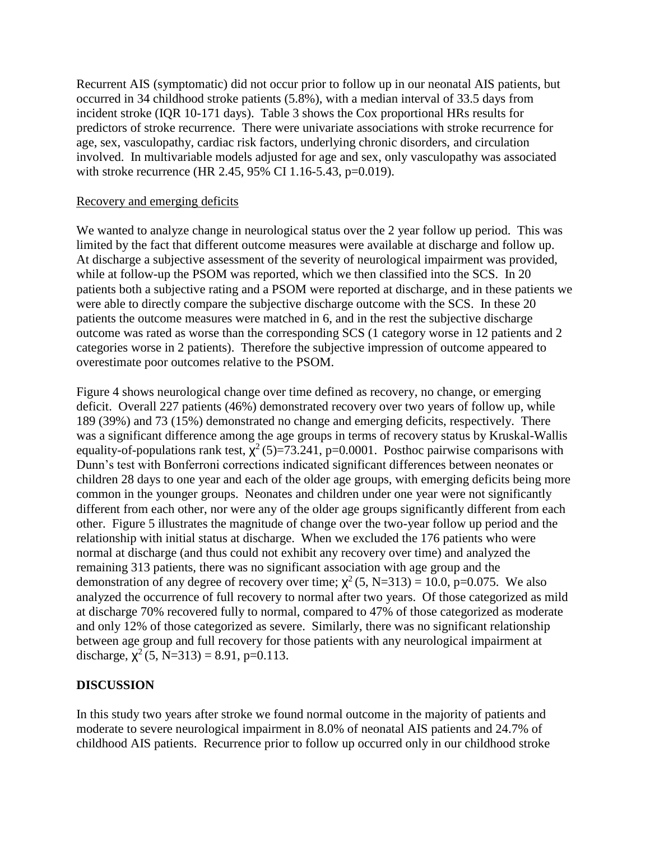Recurrent AIS (symptomatic) did not occur prior to follow up in our neonatal AIS patients, but occurred in 34 childhood stroke patients (5.8%), with a median interval of 33.5 days from incident stroke (IQR 10-171 days). Table 3 shows the Cox proportional HRs results for predictors of stroke recurrence. There were univariate associations with stroke recurrence for age, sex, vasculopathy, cardiac risk factors, underlying chronic disorders, and circulation involved. In multivariable models adjusted for age and sex, only vasculopathy was associated with stroke recurrence (HR 2.45, 95% CI 1.16-5.43, p=0.019).

#### Recovery and emerging deficits

We wanted to analyze change in neurological status over the 2 year follow up period. This was limited by the fact that different outcome measures were available at discharge and follow up. At discharge a subjective assessment of the severity of neurological impairment was provided, while at follow-up the PSOM was reported, which we then classified into the SCS. In 20 patients both a subjective rating and a PSOM were reported at discharge, and in these patients we were able to directly compare the subjective discharge outcome with the SCS. In these 20 patients the outcome measures were matched in 6, and in the rest the subjective discharge outcome was rated as worse than the corresponding SCS (1 category worse in 12 patients and 2 categories worse in 2 patients). Therefore the subjective impression of outcome appeared to overestimate poor outcomes relative to the PSOM.

Figure 4 shows neurological change over time defined as recovery, no change, or emerging deficit. Overall 227 patients (46%) demonstrated recovery over two years of follow up, while 189 (39%) and 73 (15%) demonstrated no change and emerging deficits, respectively. There was a significant difference among the age groups in terms of recovery status by Kruskal-Wallis equality-of-populations rank test,  $\chi^2$  (5)=73.241, p=0.0001. Posthoc pairwise comparisons with Dunn's test with Bonferroni corrections indicated significant differences between neonates or children 28 days to one year and each of the older age groups, with emerging deficits being more common in the younger groups. Neonates and children under one year were not significantly different from each other, nor were any of the older age groups significantly different from each other. Figure 5 illustrates the magnitude of change over the two-year follow up period and the relationship with initial status at discharge. When we excluded the 176 patients who were normal at discharge (and thus could not exhibit any recovery over time) and analyzed the remaining 313 patients, there was no significant association with age group and the demonstration of any degree of recovery over time;  $\chi^2$  (5, N=313) = 10.0, p=0.075. We also analyzed the occurrence of full recovery to normal after two years. Of those categorized as mild at discharge 70% recovered fully to normal, compared to 47% of those categorized as moderate and only 12% of those categorized as severe. Similarly, there was no significant relationship between age group and full recovery for those patients with any neurological impairment at discharge,  $\chi^2$  (5, N=313) = 8.91, p=0.113.

## **DISCUSSION**

In this study two years after stroke we found normal outcome in the majority of patients and moderate to severe neurological impairment in 8.0% of neonatal AIS patients and 24.7% of childhood AIS patients. Recurrence prior to follow up occurred only in our childhood stroke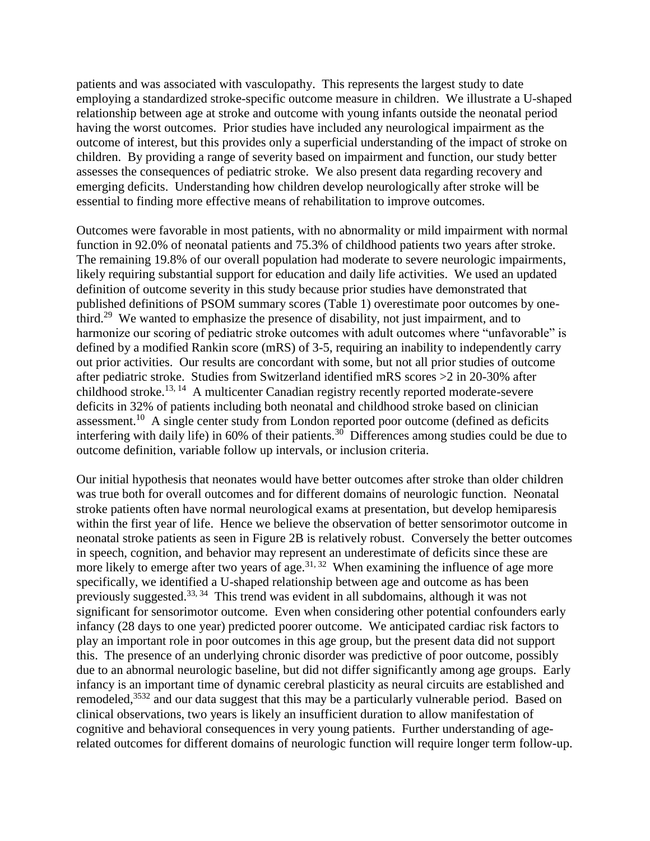patients and was associated with vasculopathy. This represents the largest study to date employing a standardized stroke-specific outcome measure in children. We illustrate a U-shaped relationship between age at stroke and outcome with young infants outside the neonatal period having the worst outcomes. Prior studies have included any neurological impairment as the outcome of interest, but this provides only a superficial understanding of the impact of stroke on children. By providing a range of severity based on impairment and function, our study better assesses the consequences of pediatric stroke. We also present data regarding recovery and emerging deficits. Understanding how children develop neurologically after stroke will be essential to finding more effective means of rehabilitation to improve outcomes.

Outcomes were favorable in most patients, with no abnormality or mild impairment with normal function in 92.0% of neonatal patients and 75.3% of childhood patients two years after stroke. The remaining 19.8% of our overall population had moderate to severe neurologic impairments, likely requiring substantial support for education and daily life activities. We used an updated definition of outcome severity in this study because prior studies have demonstrated that published definitions of PSOM summary scores (Table 1) overestimate poor outcomes by onethird.<sup>29</sup> We wanted to emphasize the presence of disability, not just impairment, and to harmonize our scoring of pediatric stroke outcomes with adult outcomes where "unfavorable" is defined by a modified Rankin score (mRS) of 3-5, requiring an inability to independently carry out prior activities. Our results are concordant with some, but not all prior studies of outcome after pediatric stroke. Studies from Switzerland identified mRS scores >2 in 20-30% after childhood stroke.<sup>13, 14</sup> A multicenter Canadian registry recently reported moderate-severe deficits in 32% of patients including both neonatal and childhood stroke based on clinician assessment.<sup>10</sup> A single center study from London reported poor outcome (defined as deficits interfering with daily life) in 60% of their patients.<sup>30</sup> Differences among studies could be due to outcome definition, variable follow up intervals, or inclusion criteria.

Our initial hypothesis that neonates would have better outcomes after stroke than older children was true both for overall outcomes and for different domains of neurologic function. Neonatal stroke patients often have normal neurological exams at presentation, but develop hemiparesis within the first year of life. Hence we believe the observation of better sensorimotor outcome in neonatal stroke patients as seen in Figure 2B is relatively robust. Conversely the better outcomes in speech, cognition, and behavior may represent an underestimate of deficits since these are more likely to emerge after two years of age.<sup>31, 32</sup> When examining the influence of age more specifically, we identified a U-shaped relationship between age and outcome as has been previously suggested.<sup>33, 34</sup> This trend was evident in all subdomains, although it was not significant for sensorimotor outcome. Even when considering other potential confounders early infancy (28 days to one year) predicted poorer outcome. We anticipated cardiac risk factors to play an important role in poor outcomes in this age group, but the present data did not support this. The presence of an underlying chronic disorder was predictive of poor outcome, possibly due to an abnormal neurologic baseline, but did not differ significantly among age groups. Early infancy is an important time of dynamic cerebral plasticity as neural circuits are established and remodeled,<sup>3532</sup> and our data suggest that this may be a particularly vulnerable period. Based on clinical observations, two years is likely an insufficient duration to allow manifestation of cognitive and behavioral consequences in very young patients. Further understanding of agerelated outcomes for different domains of neurologic function will require longer term follow-up.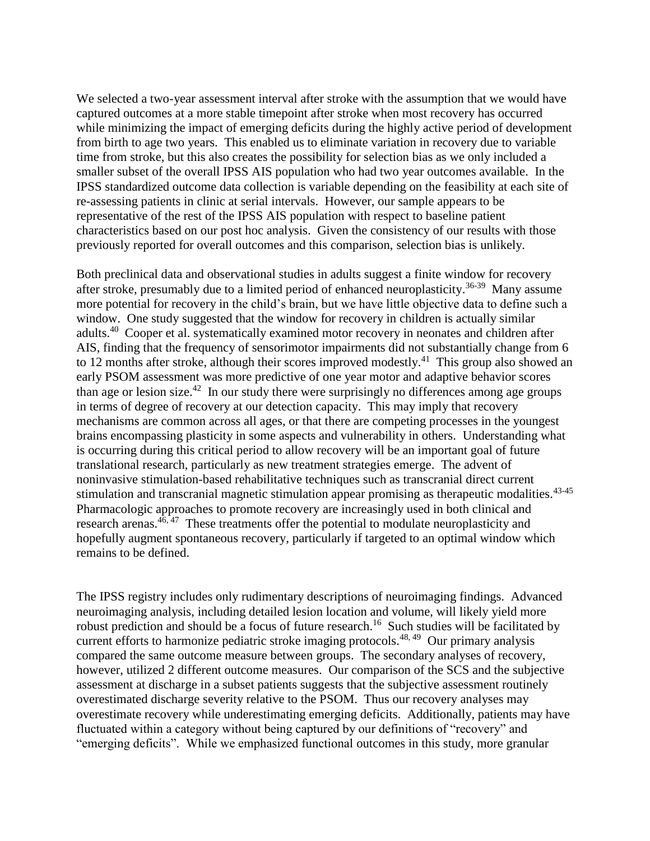We selected a two-year assessment interval after stroke with the assumption that we would have captured outcomes at a more stable timepoint after stroke when most recovery has occurred while minimizing the impact of emerging deficits during the highly active period of development from birth to age two years. This enabled us to eliminate variation in recovery due to variable time from stroke, but this also creates the possibility for selection bias as we only included a smaller subset of the overall IPSS AIS population who had two year outcomes available. In the IPSS standardized outcome data collection is variable depending on the feasibility at each site of re-assessing patients in clinic at serial intervals. However, our sample appears to be representative of the rest of the IPSS AIS population with respect to baseline patient characteristics based on our post hoc analysis. Given the consistency of our results with those previously reported for overall outcomes and this comparison, selection bias is unlikely.

Both preclinical data and observational studies in adults suggest a finite window for recovery after stroke, presumably due to a limited period of enhanced neuroplasticity.<sup>36-39</sup> Many assume more potential for recovery in the child's brain, but we have little objective data to define such a window. One study suggested that the window for recovery in children is actually similar adults.<sup>40</sup> Cooper et al. systematically examined motor recovery in neonates and children after AIS, finding that the frequency of sensorimotor impairments did not substantially change from 6 to 12 months after stroke, although their scores improved modestly.<sup>41</sup> This group also showed an early PSOM assessment was more predictive of one year motor and adaptive behavior scores than age or lesion size.<sup>42</sup> In our study there were surprisingly no differences among age groups in terms of degree of recovery at our detection capacity. This may imply that recovery mechanisms are common across all ages, or that there are competing processes in the youngest brains encompassing plasticity in some aspects and vulnerability in others. Understanding what is occurring during this critical period to allow recovery will be an important goal of future translational research, particularly as new treatment strategies emerge. The advent of noninvasive stimulation-based rehabilitative techniques such as transcranial direct current stimulation and transcranial magnetic stimulation appear promising as therapeutic modalities.<sup>43-45</sup> Pharmacologic approaches to promote recovery are increasingly used in both clinical and research arenas.<sup>46, 47</sup> These treatments offer the potential to modulate neuroplasticity and hopefully augment spontaneous recovery, particularly if targeted to an optimal window which remains to be defined.

The IPSS registry includes only rudimentary descriptions of neuroimaging findings. Advanced neuroimaging analysis, including detailed lesion location and volume, will likely yield more robust prediction and should be a focus of future research.<sup>16</sup> Such studies will be facilitated by current efforts to harmonize pediatric stroke imaging protocols.<sup>48, 49</sup> Our primary analysis compared the same outcome measure between groups. The secondary analyses of recovery, however, utilized 2 different outcome measures. Our comparison of the SCS and the subjective assessment at discharge in a subset patients suggests that the subjective assessment routinely overestimated discharge severity relative to the PSOM. Thus our recovery analyses may overestimate recovery while underestimating emerging deficits. Additionally, patients may have fluctuated within a category without being captured by our definitions of "recovery" and "emerging deficits". While we emphasized functional outcomes in this study, more granular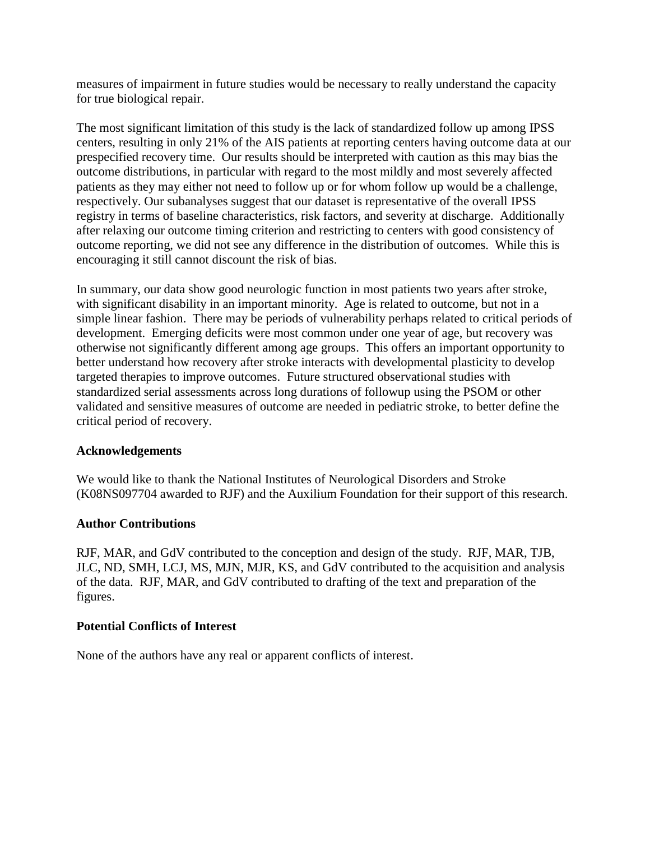measures of impairment in future studies would be necessary to really understand the capacity for true biological repair.

The most significant limitation of this study is the lack of standardized follow up among IPSS centers, resulting in only 21% of the AIS patients at reporting centers having outcome data at our prespecified recovery time. Our results should be interpreted with caution as this may bias the outcome distributions, in particular with regard to the most mildly and most severely affected patients as they may either not need to follow up or for whom follow up would be a challenge, respectively. Our subanalyses suggest that our dataset is representative of the overall IPSS registry in terms of baseline characteristics, risk factors, and severity at discharge. Additionally after relaxing our outcome timing criterion and restricting to centers with good consistency of outcome reporting, we did not see any difference in the distribution of outcomes. While this is encouraging it still cannot discount the risk of bias.

In summary, our data show good neurologic function in most patients two years after stroke, with significant disability in an important minority. Age is related to outcome, but not in a simple linear fashion. There may be periods of vulnerability perhaps related to critical periods of development. Emerging deficits were most common under one year of age, but recovery was otherwise not significantly different among age groups. This offers an important opportunity to better understand how recovery after stroke interacts with developmental plasticity to develop targeted therapies to improve outcomes. Future structured observational studies with standardized serial assessments across long durations of followup using the PSOM or other validated and sensitive measures of outcome are needed in pediatric stroke, to better define the critical period of recovery.

## **Acknowledgements**

We would like to thank the National Institutes of Neurological Disorders and Stroke (K08NS097704 awarded to RJF) and the Auxilium Foundation for their support of this research.

# **Author Contributions**

RJF, MAR, and GdV contributed to the conception and design of the study. RJF, MAR, TJB, JLC, ND, SMH, LCJ, MS, MJN, MJR, KS, and GdV contributed to the acquisition and analysis of the data. RJF, MAR, and GdV contributed to drafting of the text and preparation of the figures.

## **Potential Conflicts of Interest**

None of the authors have any real or apparent conflicts of interest.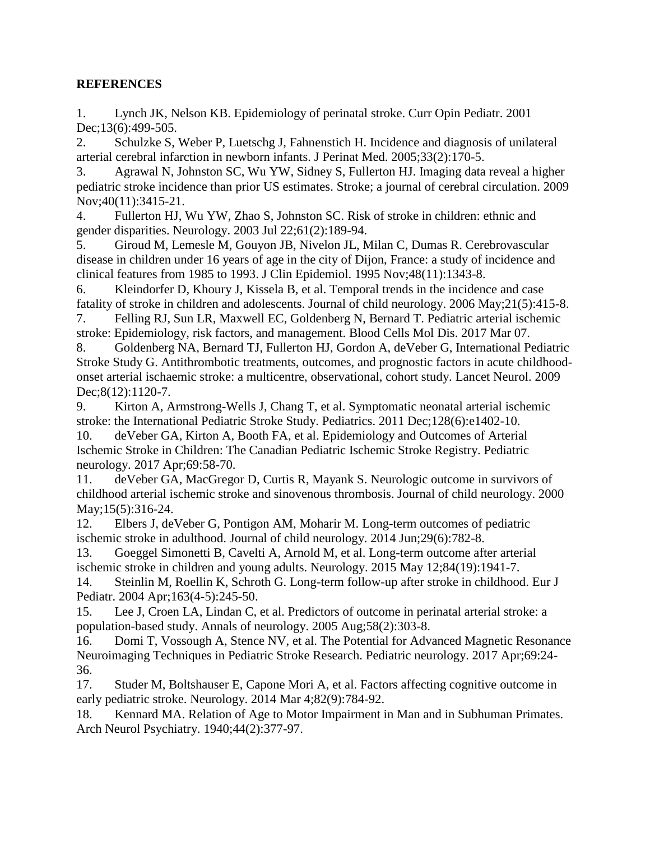# **REFERENCES**

1. Lynch JK, Nelson KB. Epidemiology of perinatal stroke. Curr Opin Pediatr. 2001 Dec;13(6):499-505.

2. Schulzke S, Weber P, Luetschg J, Fahnenstich H. Incidence and diagnosis of unilateral arterial cerebral infarction in newborn infants. J Perinat Med. 2005;33(2):170-5.

3. Agrawal N, Johnston SC, Wu YW, Sidney S, Fullerton HJ. Imaging data reveal a higher pediatric stroke incidence than prior US estimates. Stroke; a journal of cerebral circulation. 2009 Nov;40(11):3415-21.

4. Fullerton HJ, Wu YW, Zhao S, Johnston SC. Risk of stroke in children: ethnic and gender disparities. Neurology. 2003 Jul 22;61(2):189-94.

5. Giroud M, Lemesle M, Gouyon JB, Nivelon JL, Milan C, Dumas R. Cerebrovascular disease in children under 16 years of age in the city of Dijon, France: a study of incidence and clinical features from 1985 to 1993. J Clin Epidemiol. 1995 Nov;48(11):1343-8.

6. Kleindorfer D, Khoury J, Kissela B, et al. Temporal trends in the incidence and case fatality of stroke in children and adolescents. Journal of child neurology. 2006 May;21(5):415-8.

7. Felling RJ, Sun LR, Maxwell EC, Goldenberg N, Bernard T. Pediatric arterial ischemic stroke: Epidemiology, risk factors, and management. Blood Cells Mol Dis. 2017 Mar 07.

8. Goldenberg NA, Bernard TJ, Fullerton HJ, Gordon A, deVeber G, International Pediatric Stroke Study G. Antithrombotic treatments, outcomes, and prognostic factors in acute childhoodonset arterial ischaemic stroke: a multicentre, observational, cohort study. Lancet Neurol. 2009 Dec;8(12):1120-7.

9. Kirton A, Armstrong-Wells J, Chang T, et al. Symptomatic neonatal arterial ischemic stroke: the International Pediatric Stroke Study. Pediatrics. 2011 Dec;128(6):e1402-10.

10. deVeber GA, Kirton A, Booth FA, et al. Epidemiology and Outcomes of Arterial Ischemic Stroke in Children: The Canadian Pediatric Ischemic Stroke Registry. Pediatric neurology. 2017 Apr;69:58-70.

11. deVeber GA, MacGregor D, Curtis R, Mayank S. Neurologic outcome in survivors of childhood arterial ischemic stroke and sinovenous thrombosis. Journal of child neurology. 2000 May;15(5):316-24.

12. Elbers J, deVeber G, Pontigon AM, Moharir M. Long-term outcomes of pediatric ischemic stroke in adulthood. Journal of child neurology. 2014 Jun;29(6):782-8.

13. Goeggel Simonetti B, Cavelti A, Arnold M, et al. Long-term outcome after arterial ischemic stroke in children and young adults. Neurology. 2015 May 12;84(19):1941-7.

14. Steinlin M, Roellin K, Schroth G. Long-term follow-up after stroke in childhood. Eur J Pediatr. 2004 Apr;163(4-5):245-50.

15. Lee J, Croen LA, Lindan C, et al. Predictors of outcome in perinatal arterial stroke: a population-based study. Annals of neurology. 2005 Aug;58(2):303-8.

16. Domi T, Vossough A, Stence NV, et al. The Potential for Advanced Magnetic Resonance Neuroimaging Techniques in Pediatric Stroke Research. Pediatric neurology. 2017 Apr;69:24- 36.

17. Studer M, Boltshauser E, Capone Mori A, et al. Factors affecting cognitive outcome in early pediatric stroke. Neurology. 2014 Mar 4;82(9):784-92.

18. Kennard MA. Relation of Age to Motor Impairment in Man and in Subhuman Primates. Arch Neurol Psychiatry. 1940;44(2):377-97.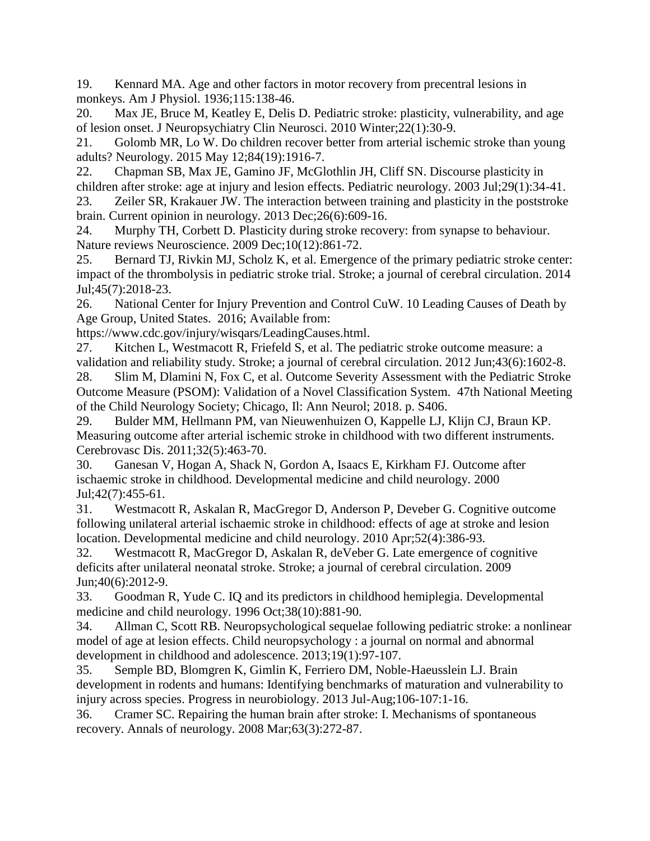19. Kennard MA. Age and other factors in motor recovery from precentral lesions in monkeys. Am J Physiol. 1936;115:138-46.

20. Max JE, Bruce M, Keatley E, Delis D. Pediatric stroke: plasticity, vulnerability, and age of lesion onset. J Neuropsychiatry Clin Neurosci. 2010 Winter;22(1):30-9.

21. Golomb MR, Lo W. Do children recover better from arterial ischemic stroke than young adults? Neurology. 2015 May 12;84(19):1916-7.

22. Chapman SB, Max JE, Gamino JF, McGlothlin JH, Cliff SN. Discourse plasticity in children after stroke: age at injury and lesion effects. Pediatric neurology. 2003 Jul;29(1):34-41.

23. Zeiler SR, Krakauer JW. The interaction between training and plasticity in the poststroke brain. Current opinion in neurology. 2013 Dec;26(6):609-16.

24. Murphy TH, Corbett D. Plasticity during stroke recovery: from synapse to behaviour. Nature reviews Neuroscience. 2009 Dec;10(12):861-72.

25. Bernard TJ, Rivkin MJ, Scholz K, et al. Emergence of the primary pediatric stroke center: impact of the thrombolysis in pediatric stroke trial. Stroke; a journal of cerebral circulation. 2014 Jul;45(7):2018-23.

26. National Center for Injury Prevention and Control CuW. 10 Leading Causes of Death by Age Group, United States. 2016; Available from:

https://www.cdc.gov/injury/wisqars/LeadingCauses.html.

27. Kitchen L, Westmacott R, Friefeld S, et al. The pediatric stroke outcome measure: a validation and reliability study. Stroke; a journal of cerebral circulation. 2012 Jun;43(6):1602-8.

28. Slim M, Dlamini N, Fox C, et al. Outcome Severity Assessment with the Pediatric Stroke Outcome Measure (PSOM): Validation of a Novel Classification System. 47th National Meeting of the Child Neurology Society; Chicago, Il: Ann Neurol; 2018. p. S406.

29. Bulder MM, Hellmann PM, van Nieuwenhuizen O, Kappelle LJ, Klijn CJ, Braun KP. Measuring outcome after arterial ischemic stroke in childhood with two different instruments. Cerebrovasc Dis. 2011;32(5):463-70.

30. Ganesan V, Hogan A, Shack N, Gordon A, Isaacs E, Kirkham FJ. Outcome after ischaemic stroke in childhood. Developmental medicine and child neurology. 2000 Jul;42(7):455-61.

31. Westmacott R, Askalan R, MacGregor D, Anderson P, Deveber G. Cognitive outcome following unilateral arterial ischaemic stroke in childhood: effects of age at stroke and lesion location. Developmental medicine and child neurology. 2010 Apr;52(4):386-93.

32. Westmacott R, MacGregor D, Askalan R, deVeber G. Late emergence of cognitive deficits after unilateral neonatal stroke. Stroke; a journal of cerebral circulation. 2009 Jun;40(6):2012-9.

33. Goodman R, Yude C. IQ and its predictors in childhood hemiplegia. Developmental medicine and child neurology. 1996 Oct;38(10):881-90.

34. Allman C, Scott RB. Neuropsychological sequelae following pediatric stroke: a nonlinear model of age at lesion effects. Child neuropsychology : a journal on normal and abnormal development in childhood and adolescence. 2013;19(1):97-107.

35. Semple BD, Blomgren K, Gimlin K, Ferriero DM, Noble-Haeusslein LJ. Brain development in rodents and humans: Identifying benchmarks of maturation and vulnerability to injury across species. Progress in neurobiology. 2013 Jul-Aug;106-107:1-16.

36. Cramer SC. Repairing the human brain after stroke: I. Mechanisms of spontaneous recovery. Annals of neurology. 2008 Mar;63(3):272-87.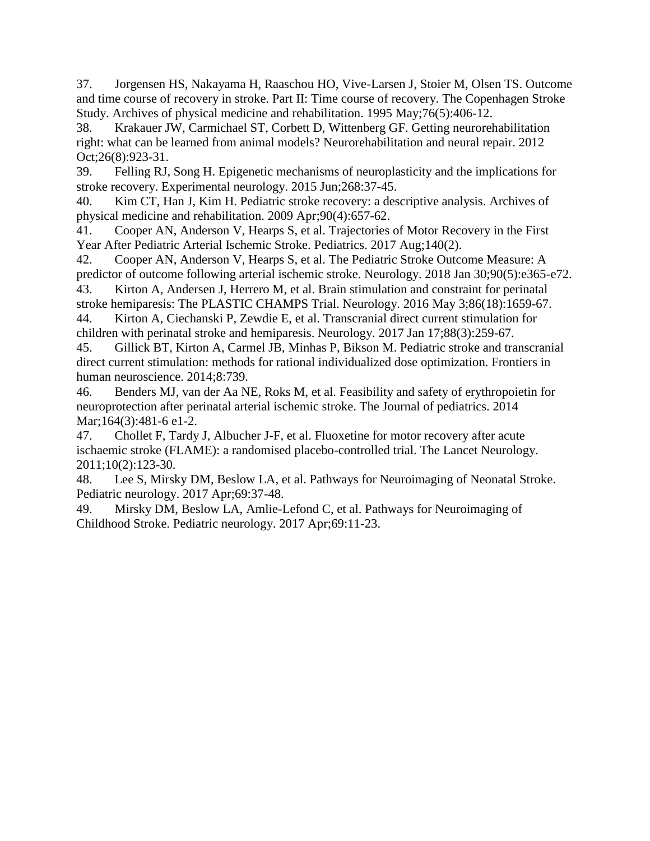37. Jorgensen HS, Nakayama H, Raaschou HO, Vive-Larsen J, Stoier M, Olsen TS. Outcome and time course of recovery in stroke. Part II: Time course of recovery. The Copenhagen Stroke Study. Archives of physical medicine and rehabilitation. 1995 May;76(5):406-12.

38. Krakauer JW, Carmichael ST, Corbett D, Wittenberg GF. Getting neurorehabilitation right: what can be learned from animal models? Neurorehabilitation and neural repair. 2012 Oct;26(8):923-31.

39. Felling RJ, Song H. Epigenetic mechanisms of neuroplasticity and the implications for stroke recovery. Experimental neurology. 2015 Jun;268:37-45.

40. Kim CT, Han J, Kim H. Pediatric stroke recovery: a descriptive analysis. Archives of physical medicine and rehabilitation. 2009 Apr;90(4):657-62.

41. Cooper AN, Anderson V, Hearps S, et al. Trajectories of Motor Recovery in the First Year After Pediatric Arterial Ischemic Stroke. Pediatrics. 2017 Aug;140(2).

42. Cooper AN, Anderson V, Hearps S, et al. The Pediatric Stroke Outcome Measure: A predictor of outcome following arterial ischemic stroke. Neurology. 2018 Jan 30;90(5):e365-e72.

43. Kirton A, Andersen J, Herrero M, et al. Brain stimulation and constraint for perinatal stroke hemiparesis: The PLASTIC CHAMPS Trial. Neurology. 2016 May 3;86(18):1659-67. 44. Kirton A, Ciechanski P, Zewdie E, et al. Transcranial direct current stimulation for

children with perinatal stroke and hemiparesis. Neurology. 2017 Jan 17;88(3):259-67.

45. Gillick BT, Kirton A, Carmel JB, Minhas P, Bikson M. Pediatric stroke and transcranial direct current stimulation: methods for rational individualized dose optimization. Frontiers in human neuroscience. 2014;8:739.

46. Benders MJ, van der Aa NE, Roks M, et al. Feasibility and safety of erythropoietin for neuroprotection after perinatal arterial ischemic stroke. The Journal of pediatrics. 2014 Mar;164(3):481-6 e1-2.

47. Chollet F, Tardy J, Albucher J-F, et al. Fluoxetine for motor recovery after acute ischaemic stroke (FLAME): a randomised placebo-controlled trial. The Lancet Neurology. 2011;10(2):123-30.

48. Lee S, Mirsky DM, Beslow LA, et al. Pathways for Neuroimaging of Neonatal Stroke. Pediatric neurology. 2017 Apr;69:37-48.

49. Mirsky DM, Beslow LA, Amlie-Lefond C, et al. Pathways for Neuroimaging of Childhood Stroke. Pediatric neurology. 2017 Apr;69:11-23.